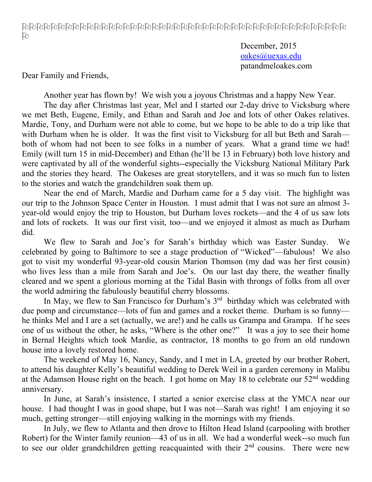December, 2015 oakes@uexas.edu patandmeloakes.com

Dear Family and Friends,

Another year has flown by! We wish you a joyous Christmas and a happy New Year.

The day after Christmas last year, Mel and I started our 2-day drive to Vicksburg where we met Beth, Eugene, Emily, and Ethan and Sarah and Joe and lots of other Oakes relatives. Mardie, Tony, and Durham were not able to come, but we hope to be able to do a trip like that with Durham when he is older. It was the first visit to Vicksburg for all but Beth and Sarah both of whom had not been to see folks in a number of years. What a grand time we had! Emily (will turn 15 in mid-December) and Ethan (he'll be 13 in February) both love history and were captivated by all of the wonderful sights--especially the Vicksburg National Military Park and the stories they heard. The Oakeses are great storytellers, and it was so much fun to listen to the stories and watch the grandchildren soak them up.

Near the end of March, Mardie and Durham came for a 5 day visit. The highlight was our trip to the Johnson Space Center in Houston. I must admit that I was not sure an almost 3 year-old would enjoy the trip to Houston, but Durham loves rockets—and the 4 of us saw lots and lots of rockets. It was our first visit, too—and we enjoyed it almost as much as Durham did.

We flew to Sarah and Joe's for Sarah's birthday which was Easter Sunday. We celebrated by going to Baltimore to see a stage production of "Wicked"—fabulous! We also got to visit my wonderful 93-year-old cousin Marion Thomson (my dad was her first cousin) who lives less than a mile from Sarah and Joe's. On our last day there, the weather finally cleared and we spent a glorious morning at the Tidal Basin with throngs of folks from all over the world admiring the fabulously beautiful cherry blossoms.

In May, we flew to San Francisco for Durham's  $3<sup>rd</sup>$  birthday which was celebrated with due pomp and circumstance—lots of fun and games and a rocket theme. Durham is so funny he thinks Mel and I are a set (actually, we are!) and he calls us Grampa and Grampa. If he sees one of us without the other, he asks, "Where is the other one?" It was a joy to see their home in Bernal Heights which took Mardie, as contractor, 18 months to go from an old rundown house into a lovely restored home.

The weekend of May 16, Nancy, Sandy, and I met in LA, greeted by our brother Robert, to attend his daughter Kelly's beautiful wedding to Derek Weil in a garden ceremony in Malibu at the Adamson House right on the beach. I got home on May 18 to celebrate our  $52<sup>nd</sup>$  wedding anniversary.

In June, at Sarah's insistence, I started a senior exercise class at the YMCA near our house. I had thought I was in good shape, but I was not—Sarah was right! I am enjoying it so much, getting stronger—still enjoying walking in the mornings with my friends.

In July, we flew to Atlanta and then drove to Hilton Head Island (carpooling with brother Robert) for the Winter family reunion—43 of us in all. We had a wonderful week--so much fun to see our older grandchildren getting reacquainted with their  $2<sup>nd</sup>$  cousins. There were new